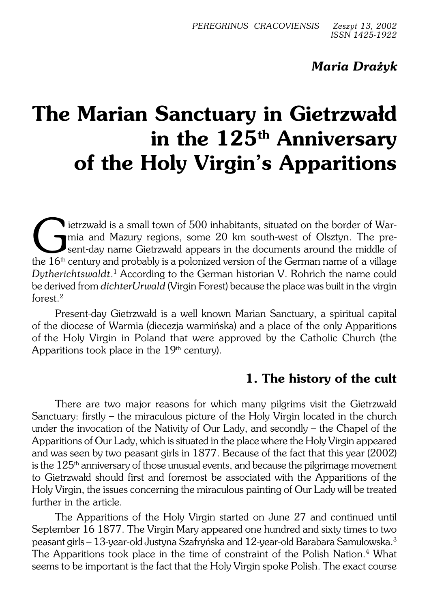# *Maria Drażyk*

# **The Marian Sanctuary in Gietrzwałd in the 125th Anniversary of the Holy Virgin's Apparitions**

The 16th century and Mazury regions, some 20 km south-west of Olsztyn. The present-day name Gietrzwald appears in the documents around the middle of the 16<sup>th</sup> century and probably is a polonized version of the German name ietrzwałd is a small town of 500 inhabitants, situated on the border ofWar− mia and Mazury regions, some 20 km south−west of Olsztyn. The pre− sent−day name Gietrzwałd appears in the documents around the middle of *Dytherichtswaldt*. 1 According to the German historian V. Rohrich thename could be derived from *dichterUrwald* (Virgin Forest) because the place was built in thevirgin forest<sup>2</sup>

Present−day Gietrzwałd is a well known Marian Sanctuary, a spiritual capital of the diocese of Warmia (diecezja warmińska) and a place of the only Apparitions ofthe Holy Virgin in Poland that were approved by the Catholic Church (the Apparitions took place in the  $19<sup>th</sup>$  century).

## **1. The history of the cult**

There are two major reasons for which many pilgrims visit the Gietrzwałd Sanctuary: firstly – the miraculous picture of the Holy Virgin located in the church under the invocation of the Nativity of Our Lady, and secondly – the Chapel of the Apparitions of Our Lady, which is situated in the place where the Holy Virgin appeared and was seen by two peasant girls in 1877. Because of the fact that this year (2002) is the  $125<sup>th</sup>$  anniversary of those unusual events, and because the pilgrimage movement to Gietrzwałd should first and foremost be associated with the Apparitions of the Holy Virgin, the issues concerning the miraculous painting of Our Lady will be treated further in the article.

The Apparitions of the Holy Virgin started on June 27 and continued until September 16 1877. The Virgin Mary appeared one hundred and sixty times to two peasant girls – 13−year−old Justyna Szafryńska and 12−year−old Barabara Samulowska.<sup>3</sup> The Apparitions took place in the time of constraint of the Polish Nation.<sup>4</sup> What seems to be important is the fact that the Holy Virgin spoke Polish. The exact course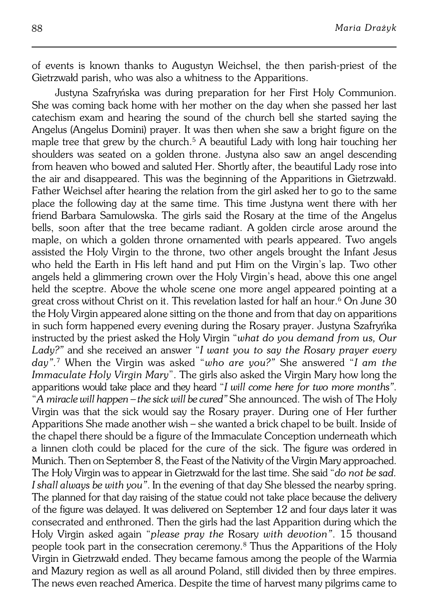of events is known thanks to Augustyn Weichsel, the then parish−priest of the Gietrzwałd parish, who was also a whitness to the Apparitions.

Justyna Szafryńska was during preparation for her First Holy Communion. She was coming back home with her mother on the day when she passed her last catechism exam and hearing the sound of the church bell she started saying the Angelus (Angelus Domini) prayer. It was then when she saw a bright figure on the maple tree that grew by the church.<sup>5</sup> A beautiful Lady with long hair touching her shoulders was seated on a golden throne. Justyna also saw an angel descending from heaven who bowed and saluted Her. Shortly after, the beautiful Lady rose into the air and disappeared. This was the beginning of the Apparitions in Gietrzwałd. Father Weichsel after hearing the relation from the girl asked her to go to the same place the following day at the same time. This time Justyna went there with her friend Barbara Samulowska. The girls said the Rosary at the time of the Angelus bells, soon after that the tree became radiant. Agolden circle arose around the maple, on which a golden throne ornamented with pearls appeared. Two angels assisted the Holy Virgin to the throne, two other angels brought the Infant Jesus who held the Earth in His left hand and put Him on the Virgin's lap. Two other angels held a glimmering crown over the Holy Virgin's head, above this one angel held the sceptre. Above the whole scene one more angel appeared pointing at a great cross without Christ on it. This revelation lasted for half an hour.<sup>6</sup> On June 30 the Holy Virgin appeared alone sitting on the thone and from that day on apparitions in such form happened every evening during the Rosary prayer. Justyna Szafryńka instructed by the priest asked the Holy Virgin "*what do you demand from us, Our Lady?"* and she received an answer "*I want you to say the Rosary prayer every day".*<sup>7</sup> When the Virgin was asked "*who are you?"* She answered "*I am the Immaculate Holy Virgin Mary*". The girls also asked the Virgin Mary how long the apparitions would take place and they heard "*I will come here for two more months"*. "*Amiracle will happen – the sick will be cured"* She announced. The wish of The Holy Virgin was that the sick would say the Rosary prayer. During one of Her further Apparitions She made another wish – she wanted a brick chapel to be built. Inside of the chapel there should be a figure of the Immaculate Conception underneath which a linnen cloth could be placed for the cure of the sick. The figure was ordered in Munich. Then on September 8, the Feast of the Nativity of the Virgin Mary approached. The Holy Virgin was to appear in Gietrzwałd for the last time. She said "*do not be sad. I shall always be with you"*. In the evening of that day She blessed the nearby spring. The planned for that day raising of the statue could not take place because the delivery of the figure was delayed. It was delivered on September 12 and four days later it was consecrated and enthroned. Then the girls had the last Apparition during which the Holy Virgin asked again "*please pray the* Rosary *with devotion"*. 15 thousand people took part in the consecration ceremony.<sup>8</sup> Thus the Apparitions of the Holy Virgin in Gietrzwałd ended. They became famous among the people of the Warmia and Mazury region as well as all around Poland, still divided then by three empires. The news even reached America. Despite the time of harvest many pilgrims came to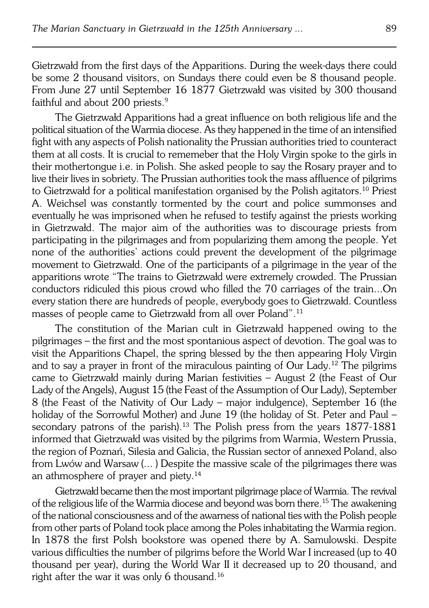Gietrzwałd from the first days of the Apparitions. During the week−days there could be some 2 thousand visitors, on Sundays there could even be 8 thousand people. From June 27 until September 16 1877 Gietrzwałd was visited by 300 thousand faithful and about 200 priests.<sup>9</sup>

The Gietrzwałd Apparitions had a great influence on both religious life and the political situation of the Warmia diocese. As they happened in the time of an intensified fight with any aspects of Polish nationality the Prussian authorities tried to counteract them at all costs. It is crucial to rememeber that the Holy Virgin spoke to the girls in their mothertongue i.e. in Polish. She asked people to say the Rosary prayer and to live their lives in sobriety. The Prussian authorities took the mass affluence of pilgrims to Gietrzwałd for a political manifestation organised by the Polish agitators.<sup>10</sup> Priest A. Weichsel was constantly tormented by the court and police summonses and eventually he was imprisoned when he refused to testify against the priests working in Gietrzwałd. The major aim of the authorities was to discourage priests from participating in the pilgrimages and from popularizing them among the people. Yet none of the authorities' actions could prevent the development of the pilgrimage movement to Gietrzwałd. One of the participants of a pilgrimage in the year of the apparitions wrote "The trains to Gietrzwałd were extremely crowded. The Prussian conductors ridiculed this pious crowd who filled the 70 carriages of the train...On every station there are hundreds of people, everybody goes to Gietrzwałd. Countless masses of people came to Gietrzwałd from all over Poland".<sup>11</sup>

The constitution of the Marian cult in Gietrzwałd happened owing to the pilgrimages – the first and the most spontanious aspect of devotion. The goal was to visit the Apparitions Chapel, the spring blessed by the then appearing Holy Virgin and to say a prayer in front of the miraculous painting of Our Lady.12 The pilgrims came to Gietrzwałd mainly during Marian festivities – August 2 (the Feast of Our Lady of the Angels), August 15 (the Feast of the Assumption of Our Lady), September 8 (the Feast of the Nativity of Our Lady – major indulgence), September 16 (the holiday of the Sorrowful Mother) and June 19 (the holiday of St. Peter and Paul – secondary patrons of the parish).<sup>13</sup> The Polish press from the years 1877-1881 informed that Gietrzwałd was visited by the pilgrims from Warmia, Western Prussia, the region of Poznań, Silesia and Galicia, the Russian sector of annexed Poland, also from Lwów and Warsaw (... ) Despite the massive scale of the pilgrimages there was an athmosphere of prayer and piety.<sup>14</sup>

Gietrzwałd became then the most important pilgrimage place of Warmia. The revival of the religious life of the Warmia diocese and beyond was born there.<sup>15</sup> The awakening of the national consciousness and of the awarness of national ties with the Polish people from other parts of Poland took place among the Poles inhabitating the Warmia region. In 1878 the first Polsh bookstore was opened there by A. Samulowski. Despite various difficulties the number of pilgrims before the World War I increased (up to 40 thousand per year), during the World War II it decreased up to 20 thousand, and right after the war it was only 6 thousand.16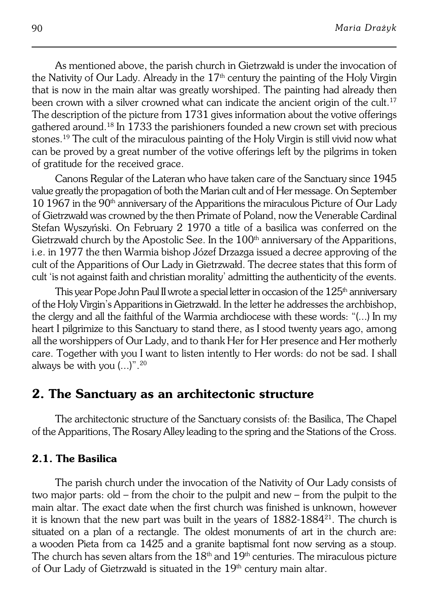As mentioned above, the parish church in Gietrzwałd is under the invocation of the Nativity of Our Lady. Already in the  $17<sup>th</sup>$  century the painting of the Holy Virgin that is now in the main altar was greatly worshiped. The painting had already then been crown with a silver crowned what can indicate the ancient origin of the cult.<sup>17</sup> The description of the picture from 1731 gives information about the votive offerings gathered around.18 In 1733 the parishioners founded a new crown set with precious stones.19 The cult of the miraculous painting of the Holy Virgin is still vivid now what can be proved by a great number of the votive offerings left by the pilgrims in token of gratitude for the received grace.

Canons Regular of the Lateran who have taken care of the Sanctuary since 1945 value greatly the propagation of both the Marian cult and of Her message. On September  $10\,1967$  in the  $90<sup>th</sup>$  anniversary of the Apparitions the miraculous Picture of Our Lady of Gietrzwałd was crowned by the then Primate of Poland, now the Venerable Cardinal Stefan Wyszyński. On February 2 1970 a title of a basilica was conferred on the Gietrzwałd church by the Apostolic See. In the  $100<sup>th</sup>$  anniversary of the Apparitions, i.e. in 1977 the then Warmia bishop Józef Drzazga issued a decree approving of the cult of the Apparitions of Our Lady in Gietrzwałd. The decree states that this form of cult 'is not against faith and christian morality' admitting the authenticity of the events.

This year Pope John Paul II wrote a special letter in occasion of the 125<sup>th</sup> anniversary of the Holy Virgin's Apparitions in Gietrzwałd. In the letter he addresses the archbishop, the clergy and all the faithful of the Warmia archdiocese with these words: "(...) Inmy heart I pilgrimize to this Sanctuary to stand there, as I stood twenty years ago, among all the worshippers of Our Lady, and to thank Her for Her presence and Her motherly care. Together with you I want to listen intently to Her words: do not be sad. I shall always be with you  $(...)$ ".<sup>20</sup>

## **2. The Sanctuary as an architectonic structure**

The architectonic structure of the Sanctuary consists of: the Basilica, The Chapel of the Apparitions, The Rosary Alley leading to the spring and the Stations of theCross.

#### **2.1. The Basilica**

The parish church under the invocation of the Nativity of Our Lady consists of two major parts: old – from the choir to the pulpit and new – from the pulpit to the main altar. The exact date when the first church was finished is unknown, however it is known that the new part was built in the years of 1882−1884<sup>21</sup> . The church is situated on a plan of a rectangle. The oldest monuments of art in the church are: awooden Pieta from ca 1425 and a granite baptismal font now serving as a stoup. The church has seven altars from the  $18<sup>th</sup>$  and  $19<sup>th</sup>$  centuries. The miraculous picture of Our Lady of Gietrzwałd is situated in the  $19<sup>th</sup>$  century main altar.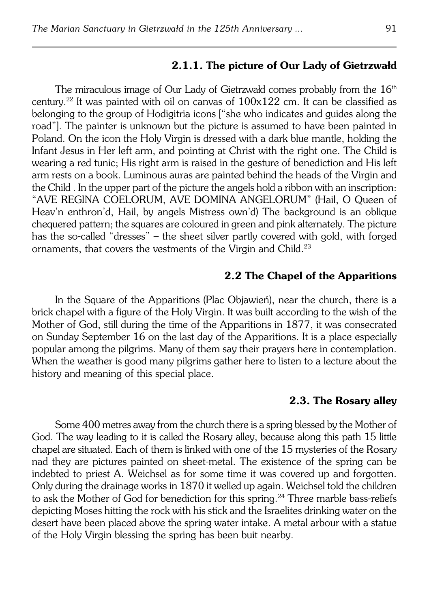#### **2.1.1. The picture of Our Lady of Gietrzwałd**

The miraculous image of Our Lady of Gietrzwałd comes probably from the  $16<sup>th</sup>$ century.<sup>22</sup> It was painted with oil on canvas of 100x122 cm. It can be classified as belonging to the group of Hodigitria icons ["she who indicates and guides along the road"]. The painter is unknown but the picture is assumed to have been painted in Poland. On the icon the Holy Virgin is dressed with a dark blue mantle, holding the Infant Jesus in Her left arm, and pointing at Christ with the right one. The Child is wearing a red tunic; His right arm is raised in the gesture of benediction and His left arm rests on a book. Luminous auras are painted behind the heads of the Virgin and the Child . In the upper part of the picture the angels hold a ribbon with an inscription: "AVE REGINA COELORUM, AVE DOMINA ANGELORUM" (Hail, O Queen of Heav'n enthron'd, Hail, by angels Mistress own'd) The background is an oblique chequered pattern; the squares are coloured in green and pink alternately. The picture has the so−called "dresses" – the sheet silver partly covered with gold, with forged ornaments, that covers the vestments of the Virgin and Child.<sup>23</sup>

#### **2.2 The Chapel of the Apparitions**

In the Square of the Apparitions (Plac Objawień), near the church, there is a brick chapel with a figure of the Holy Virgin. It was built according to the wish of the Mother of God, still during the time of the Apparitions in 1877, it was consecrated on Sunday September 16 on the last day of the Apparitions. It is a place especially popular among the pilgrims. Many of them say their prayers here in contemplation. When the weather is good many pilgrims gather here to listen to a lecture about the history and meaning of this special place.

#### **2.3. The Rosary alley**

Some 400 metres away from the church there is a spring blessed by the Mother of God. The way leading to it is called the Rosary alley, because along this path 15 little chapel are situated. Each of them is linked with one of the 15 mysteries of the Rosary nad they are pictures painted on sheet−metal. The existence of the spring can be indebted to priest A. Weichsel as for some time it was covered up and forgotten. Only during the drainage works in 1870 it welled up again. Weichsel told the children to ask the Mother of God for benediction for this spring.24 Three marble bass−reliefs depicting Moses hitting the rock with his stick and the Israelites drinking water on the desert have been placed above the spring water intake. A metal arbour with a statue of the Holy Virgin blessing the spring has been buit nearby.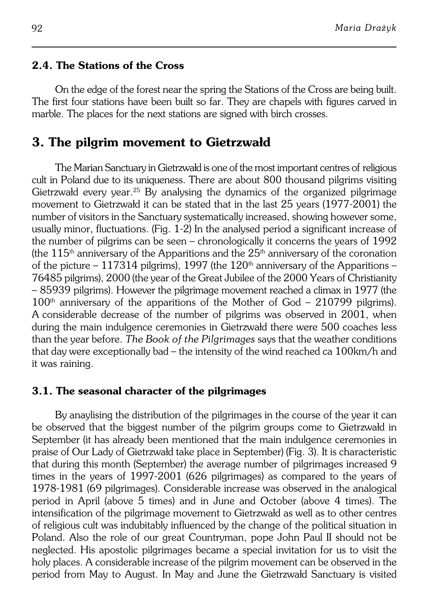#### **2.4. The Stations of the Cross**

On the edge of the forest near the spring the Stations of the Cross are being built. The first four stations have been built so far. They are chapels with figures carved in marble. The places for the next stations are signed with birch crosses.

## **3. The pilgrim movement to Gietrzwałd**

The Marian Sanctuary in Gietrzwałd is one of the most important centres ofreligious cult in Poland due to its uniqueness. There are about 800 thousand pilgrims visiting Gietrzwałd every year.<sup>25</sup> By analysing the dynamics of the organized pilgrimage movement to Gietrzwałd it can be stated that in the last 25 years (1977−2001) the number of visitors in the Sanctuary systematically increased, showing however some, usually minor, fluctuations. (Fig. 1−2) In the analysed period a significant increase of the number of pilgrims can be seen – chronologically it concerns the years of 1992 (the 115<sup>th</sup> anniversary of the Apparitions and the  $25<sup>th</sup>$  anniversary of the coronation of the picture – 117314 pilgrims), 1997 (the 120<sup>th</sup> anniversary of the Apparitions – 76485 pilgrims), 2000 (the year of the Great Jubilee of the 2000 Years of Christianity – 85939 pilgrims). However the pilgrimage movement reached a climax in 1977 (the  $100<sup>th</sup>$  anniversary of the apparitions of the Mother of God – 210799 pilgrims). Aconsiderable decrease of the number of pilgrims was observed in 2001, when during the main indulgence ceremonies in Gietrzwałd there were 500 coaches less than the year before. *The Book of the Pilgrimages* says that the weather conditions that day were exceptionally bad – the intensity of the wind reached ca 100km/h and it was raining.

#### **3.1. The seasonal character of the pilgrimages**

By anaylising the distribution of the pilgrimages in the course of the year it can be observed that the biggest number of the pilgrim groups come to Gietrzwałd in September (it has already been mentioned that the main indulgence ceremonies in praise of Our Lady of Gietrzwałd take place in September) (Fig. 3). It is characteristic that during this month (September) the average number of pilgrimages increased 9 times in the years of 1997−2001 (626 pilgrimages) as compared to the years of 1978−1981 (69 pilgrimages). Considerable increase was observed in the analogical period in April (above 5 times) and in June and October (above 4 times). The intensification of the pilgrimage movement to Gietrzwałd as well as to other centres of religious cult was indubitably influenced by the change of the political situation in Poland. Also the role of our great Countryman, pope John Paul II should not be neglected. His apostolic pilgrimages became a special invitation for us to visit the holy places. A considerable increase of the pilgrim movement can be observed in the period from May to August. In May and June the Gietrzwałd Sanctuary is visited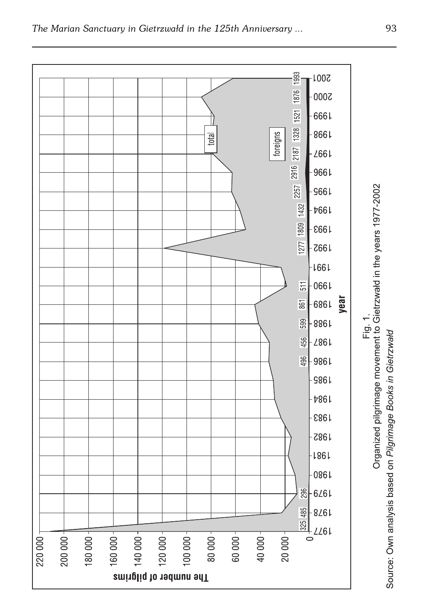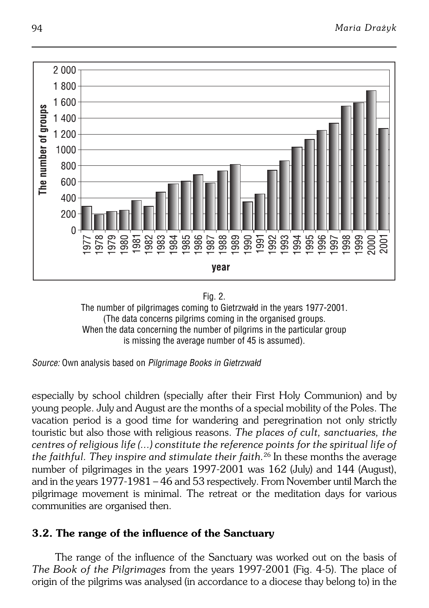



*Source:* Own analysis based on *Pilgrimage Books in Gietrzwałd*

especially by school children (specially after their First Holy Communion) and by young people. July and August are the months of a special mobility of the Poles. The vacation period is a good time for wandering and peregrination not only strictly touristic but also those with religious reasons. *The places of cult, sanctuaries, the centres of religious life (...) constitute the reference points for the spiritual life of the faithful. They inspire and stimulate their faith.*<sup>26</sup> In these months the average number of pilgrimages in the years 1997-2001 was 162 (July) and 144 (August), and in the years 1977−1981 – 46 and 53 respectively. From November until March the pilgrimage movement is minimal. The retreat or the meditation days for various communities are organised then.

## **3.2. The range of the influence of the Sanctuary**

The range of the influence of the Sanctuary was worked out on the basis of *The Book of the Pilgrimages* from the years 1997−2001 (Fig. 4−5). The place of origin of the pilgrims was analysed (in accordance to a diocese thay belong to) in the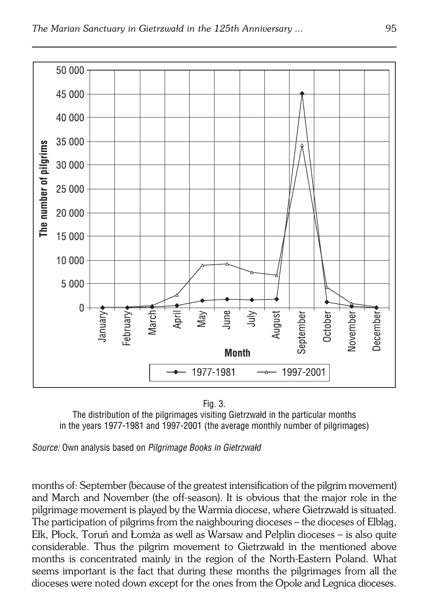

Fig. 3.

The distribution of the pilgrimages visiting Gietrzwałd in the particular months in the years 1977−1981 and 1997−2001 (the average monthly number of pilgrimages)

*Source:* Own analysis based on *Pilgrimage Books in Gietrzwałd*

months of: September (because of the greatest intensification of the pilgrim movement) and March and November (the off−season). It is obvious that the major role in the pilgrimage movement is played by the Warmia diocese, where Gietrzwałd is situated. The participation of pilgrims from the naighbouring dioceses – the dioceses of Elbląg, Ełk, Płock, Toruń and Łomża as well as Warsaw and Pelplin dioceses – is also quite considerable. Thus the pilgrim movement to Gietrzwałd in the mentioned above months is concentrated mainly in the region of the North−Eastern Poland. What seems important is the fact that during these months the pilgrimages from all the dioceses were noted down except for the ones from the Opole and Legnica dioceses.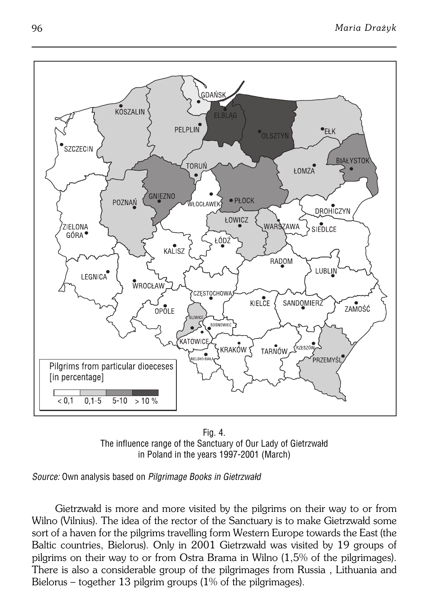

Fig. 4. The influence range of the Sanctuary of Our Lady of Gietrzwałd in Poland in the years 1997−2001 (March)

*Source:* Own analysis based on *Pilgrimage Books in Gietrzwałd*

Gietrzwałd is more and more visited by the pilgrims on their way to or from Wilno (Vilnius). The idea of the rector of the Sanctuary is to make Gietrzwałd some sort of a haven for the pilgrims travelling form Western Europe towards the East (the Baltic countries, Bielorus). Only in 2001 Gietrzwałd was visited by 19 groups of pilgrims on their way to or from Ostra Brama in Wilno (1,5% of the pilgrimages). There is also a considerable group of the pilgrimages from Russia , Lithuania and Bielorus – together 13 pilgrim groups (1% of the pilgrimages).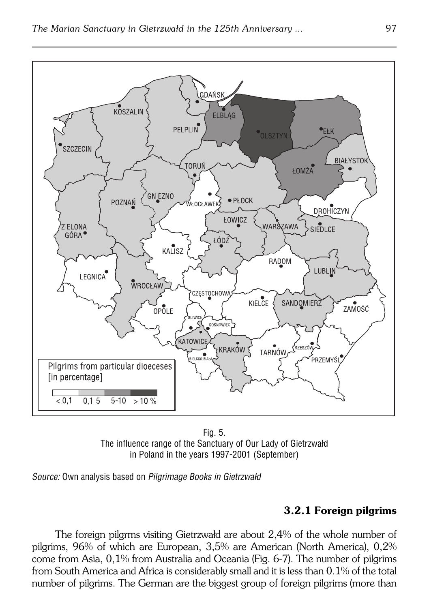

Fig. 5. The influence range of the Sanctuary of Our Lady of Gietrzwałd in Poland in the years 1997−2001 (September)

*Source:* Own analysis based on *Pilgrimage Books in Gietrzwałd*

## **3.2.1 Foreign pilgrims**

The foreign pilgrms visiting Gietrzwałd are about 2,4% of the whole number of pilgrims, 96% of which are European, 3,5% are American (North America), 0,2% come from Asia, 0,1% from Australia and Oceania (Fig. 6−7). The number of pilgrims from South America and Africa is considerably small and it is less than 0.1% of the total number of pilgrims. The German are the biggest group of foreign pilgrims (more than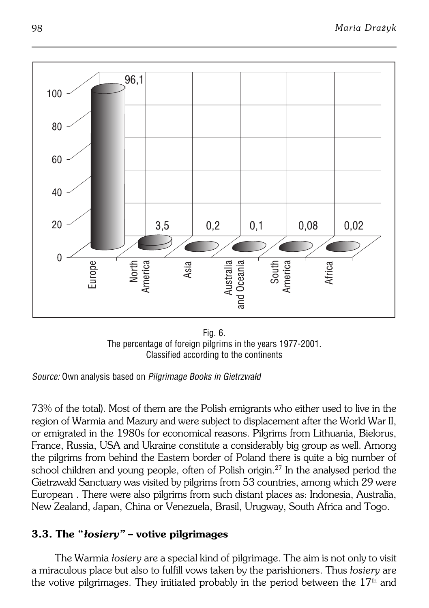

Fig. 6. The percentage of foreign pilgrims in the years 1977−2001. Classified according to the continents

73% of the total). Most of them are the Polish emigrants who either used to live in the region of Warmia and Mazury and were subject to displacement after the World War II, or emigrated in the 1980s for economical reasons. Pilgrims from Lithuania, Bielorus, France, Russia, USA and Ukraine constitute a considerably big group as well. Among the pilgrims from behind the Eastern border of Poland there is quite a big number of school children and young people, often of Polish origin.27 In the analysed period the Gietrzwałd Sanctuary was visited by pilgrims from 53 countries, among which 29 were European . There were also pilgrims from such distant places as: Indonesia, Australia, New Zealand, Japan, China or Venezuela, Brasil, Urugway, South Africa and Togo.

## **3.3. The "***łosiery"* **– votive pilgrimages**

The Warmia *łosiery* are a special kind of pilgrimage. The aim is not only to visit a miraculous place but also to fulfill vows taken by the parishioners. Thus *łosiery* are the votive pilgrimages. They initiated probably in the period between the  $17<sup>th</sup>$  and

*Source:* Own analysis based on *Pilgrimage Books in Gietrzwałd*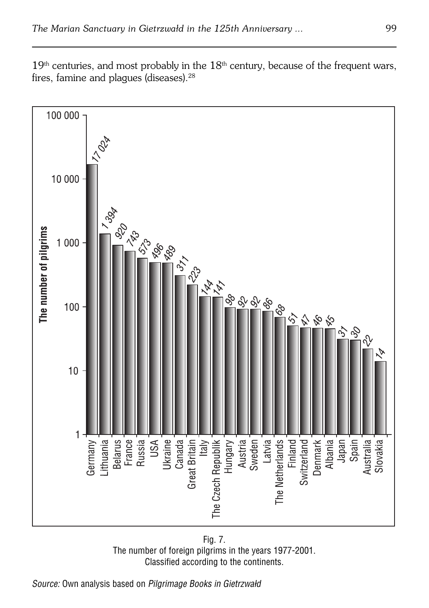$19<sup>th</sup>$  centuries, and most probably in the  $18<sup>th</sup>$  century, because of the frequent wars, fires, famine and plaques (diseases).<sup>28</sup>



Fig. 7. The number of foreign pilgrims in the years 1977−2001. Classified according to the continents.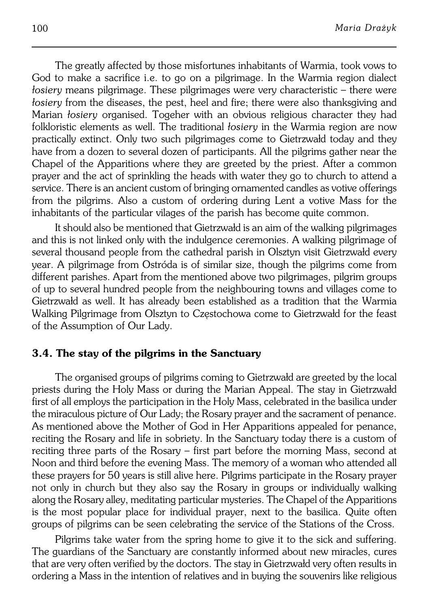The greatly affected by those misfortunes inhabitants of Warmia, took vows to God to make a sacrifice i.e. to go on a pilgrimage. In the Warmia region dialect *łosiery* means pilgrimage. These pilgrimages were very characteristic – there were *łosiery* from the diseases, the pest, heel and fire; there were also thanksgiving and Marian *łosiery* organised. Togeher with an obvious religious character they had folkloristic elements as well. The traditional *łosiery* in the Warmia region are now practically extinct. Only two such pilgrimages come to Gietrzwałd today and they have from a dozen to several dozen of participants. All the pilgrims gather near the Chapel of the Apparitions where they are greeted by the priest. After a common prayer and the act of sprinkling the heads with water they go to church to attend a service. There is an ancient custom of bringing ornamented candles as votive offerings from the pilgrims. Also a custom of ordering during Lent a votive Mass for the inhabitants of the particular vilages of the parish has become quite common.

It should also be mentioned that Gietrzwałd is an aim of the walking pilgrimages and this is not linked only with the indulgence ceremonies. A walking pilgrimage of several thousand people from the cathedral parish in Olsztyn visit Gietrzwałd every year. A pilgrimage from Ostróda is of similar size, though the pilgrims come from different parishes. Apart from the mentioned above two pilgrimages, pilgrim groups of up to several hundred people from the neighbouring towns and villages come to Gietrzwałd as well. It has already been established as a tradition that the Warmia Walking Pilgrimage from Olsztyn to Częstochowa come to Gietrzwałd for the feast of the Assumption of Our Lady.

### **3.4. The stay of the pilgrims in the Sanctuary**

The organised groups of pilgrims coming to Gietrzwałd are greeted by the local priests during the Holy Mass or during the Marian Appeal. The stay in Gietrzwałd first of all employs the participation in the Holy Mass, celebrated in the basilica under the miraculous picture of Our Lady; the Rosary prayer and the sacrament of penance. As mentioned above the Mother of God in Her Apparitions appealed for penance, reciting the Rosary and life in sobriety. In the Sanctuary today there is a custom of reciting three parts of the Rosary – first part before the morning Mass, second at Noon and third before the evening Mass. The memory of a woman who attended all these prayers for 50 years is still alive here. Pilgrims participate in the Rosary prayer not only in church but they also say the Rosary in groups or individually walking along the Rosary alley, meditating particular mysteries. The Chapel of the Apparitions is the most popular place for individual prayer, next to the basilica. Quite often groups of pilgrims can be seen celebrating the service of the Stations of the Cross.

Pilgrims take water from the spring home to give it to the sick and suffering. The guardians of the Sanctuary are constantly informed about new miracles, cures that are very often verified by the doctors. The stay in Gietrzwałd very often results in ordering a Mass in the intention of relatives and in buying the souvenirs like religious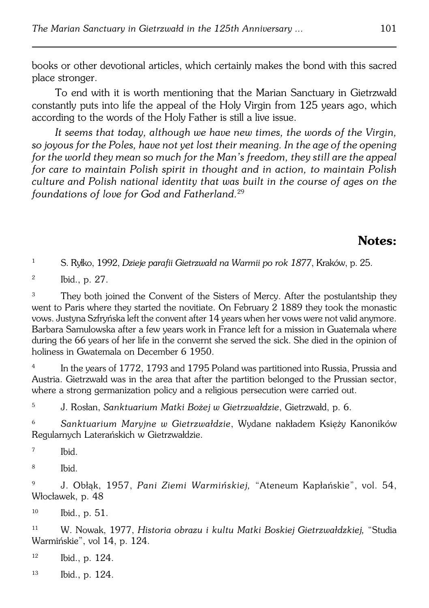books or other devotional articles, which certainly makes the bond with this sacred place stronger.

To end with it is worth mentioning that the Marian Sanctuary in Gietrzwałd constantly puts into life the appeal of the Holy Virgin from 125 years ago, which according to the words of the Holy Father is still a live issue.

*It seems that today, although we have new times, the words of the Virgin, so joyous for the Poles, have not yet lost their meaning. In the age of the opening for the world they mean so much for the Man's freedom, they still are the appeal for care to maintain Polish spirit in thought and in action, to maintain Polish culture and Polish national identity that was built in the course of ages on the foundations of love for God and Fatherland.*<sup>29</sup>

## **Notes:**

<sup>1</sup> S. Ryłko, 1992, *Dzieje parafii Gietrzwałd na Warmii po rok 1877*, Kraków, p.25.

2 Ibid., p. 27.

<sup>3</sup> They both joined the Convent of the Sisters of Mercy. After the postulantship they went to Paris where they started the novitiate. On February 2 1889 they took the monastic vows. Justyna Szfryńska left the convent after 14 years when her vows were not valid anymore. Barbara Samulowska after a few years work in France left for a mission in Guatemala where during the 66 years of her life in the convernt she served the sick. She died in the opinion of holiness in Gwatemala on December 6 1950.

4 In the years of 1772, 1793 and 1795 Poland was partitioned into Russia, Prussia and Austria. Gietrzwałd was in the area that after the partition belonged to the Prussian sector, where a strong germanization policy and a religious persecution were carried out.

<sup>5</sup> J. Rosłan, *Sanktuarium Matki Bożej w Gietrzwałdzie*, Gietrzwałd, p. 6.

<sup>6</sup> *Sanktuarium Maryjne w Gietrzwałdzie*, Wydane nakładem Księży Kanoników Regularnych Laterańskich w Gietrzwałdzie.

7 Ibid.

8 Ibid.

<sup>9</sup> J. Obłąk, 1957, *Pani Ziemi Warmińskiej,* "Ateneum Kapłańskie", vol. 54, Włocławek, p. 48

<sup>10</sup> Ibid., p. 51.

<sup>11</sup> W. Nowak, 1977, *Historia obrazu i kultu Matki Boskiej Gietrzwałdzkiej,* "Studia Warmińskie", vol 14, p. 124.

 $12$  Ibid., p. 124.

<sup>13</sup> Ibid., p. 124.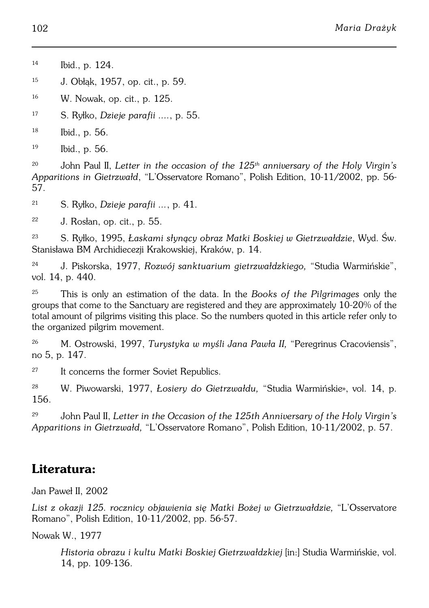<sup>14</sup> Ibid., p. 124.

<sup>15</sup> J. Obłąk, 1957, op. cit., p. 59.

<sup>16</sup> W. Nowak, op. cit., p. 125.

<sup>17</sup> S. Ryłko, *Dzieje parafii ....*, p. 55.

<sup>18</sup> Ibid., p. 56.

<sup>19</sup> Ibid., p. 56.

<sup>20</sup> John Paul II, *Letter in the occasion of the 125th anniversary of the Holy Virgin's Apparitions in Gietrzwałd*, "L'Osservatore Romano", Polish Edition, 10−11/2002, pp. 56− 57.

<sup>21</sup> S. Ryłko, *Dzieje parafii ...*, p. 41.

 $22$  J. Rosłan, op. cit., p. 55.

<sup>23</sup> S. Ryłko, 1995, *Łaskami słynący obraz Matki Boskiej w Gietrzwałdzie*, Wyd. Św. Stanisława BM Archidiecezji Krakowskiej, Kraków, p. 14.

<sup>24</sup> J. Piskorska, 1977, *Rozwój sanktuarium gietrzwałdzkiego,* "Studia Warmińskie", vol. 14, p. 440.

<sup>25</sup> This is only an estimation of the data. In the *Books of the Pilgrimages* only the groups that come to the Sanctuary are registered and they are approximately 10−20% of the total amount of pilgrims visiting this place. So the numbers quoted in this article refer only to the organized pilgrim movement.

<sup>26</sup> M. Ostrowski, 1997, *Turystyka w myśli Jana Pawła II,* "Peregrinus Cracoviensis", no 5, p. 147.

<sup>27</sup> It concerns the former Soviet Republics.

<sup>28</sup> W. Piwowarski, 1977, *Łosiery do Gietrzwałdu,* "Studia Warmińskie», vol. 14, p. 156.

<sup>29</sup> John Paul II, *Letter in the Occasion of the 125th Anniversary of the Holy Virgin's Apparitions in Gietrzwałd,* "L'Osservatore Romano", Polish Edition, 10−11/2002, p. 57.

## **Literatura:**

Jan Paweł II, 2002

*List z okazji 125. rocznicy objawienia się Matki Bożej w Gietrzwałdzie,* "L'Osservatore Romano", Polish Edition, 10−11/2002, pp. 56−57.

Nowak W., 1977

*Historia obrazu i kultu Matki Boskiej Gietrzwałdzkiej* [in:] Studia Warmińskie, vol. 14, pp. 109−136.